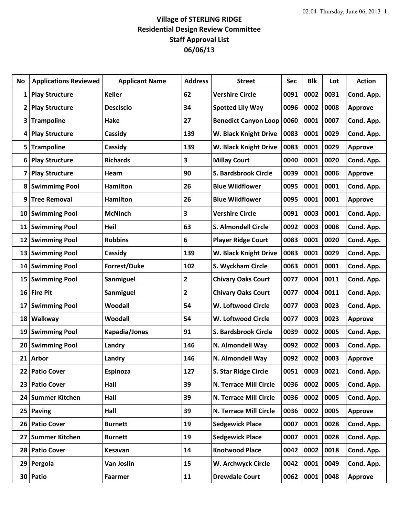## **Village of STERLING RIDGE Residential Design Review Committee Staff Approval List 06/06/13**

| No              | <b>Applications Reviewed</b> | <b>Applicant Name</b> | <b>Address</b> | <b>Street</b>               | <b>Sec</b> | <b>Blk</b> | Lot  | <b>Action</b>  |
|-----------------|------------------------------|-----------------------|----------------|-----------------------------|------------|------------|------|----------------|
| 1               | <b>Play Structure</b>        | <b>Keller</b>         | 62             | <b>Vershire Circle</b>      | 0091       | 0002       | 0031 | Cond. App.     |
| 2               | <b>Play Structure</b>        | <b>Desciscio</b>      | 34             | <b>Spotted Lily Way</b>     | 0096       | 0002       | 0008 | <b>Approve</b> |
| 3               | <b>Trampoline</b>            | Hake                  | 27             | <b>Benedict Canyon Loop</b> | 0060       | 0001       | 0007 | Cond. App.     |
| 4               | <b>Play Structure</b>        | Cassidy               | 139            | W. Black Knight Drive       | 0083       | 0001       | 0029 | Cond. App.     |
| 5               | <b>Trampoline</b>            | Cassidy               | 139            | W. Black Knight Drive       | 0083       | 0001       | 0029 | <b>Approve</b> |
| 6               | <b>Play Structure</b>        | <b>Richards</b>       | 3              | <b>Millay Court</b>         | 0040       | 0001       | 0020 | Cond. App.     |
| 7               | <b>Play Structure</b>        | Hearn                 | 90             | S. Bardsbrook Circle        | 0039       | 0001       | 0006 | <b>Approve</b> |
| 8               | <b>Swimmimg Pool</b>         | <b>Hamilton</b>       | 26             | <b>Blue Wildflower</b>      | 0095       | 0001       | 0001 | Cond. App.     |
| 9               | <b>Tree Removal</b>          | <b>Hamilton</b>       | 26             | <b>Blue Wildflower</b>      | 0095       | 0001       | 0001 | <b>Approve</b> |
| 10              | <b>Swimming Pool</b>         | <b>McNinch</b>        | 3              | <b>Vershire Circle</b>      | 0091       | 0003       | 0001 | Cond. App.     |
| 11              | <b>Swimming Pool</b>         | Heil                  | 63             | S. Almondell Circle         | 0092       | 0003       | 0008 | Cond. App.     |
| 12              | <b>Swimming Pool</b>         | <b>Robbins</b>        | 6              | <b>Player Ridge Court</b>   | 0083       | 0001       | 0020 | Cond. App.     |
| 13              | <b>Swimming Pool</b>         | Cassidy               | 139            | W. Black Knight Drive       | 0083       | 0001       | 0029 | Cond. App.     |
| 14              | <b>Swimming Pool</b>         | <b>Forrest/Duke</b>   | 102            | S. Wyckham Circle           | 0063       | 0001       | 0001 | Cond. App.     |
| 15              | <b>Swimming Pool</b>         | Sanmiguel             | 2              | <b>Chivary Oaks Court</b>   | 0077       | 0004       | 0011 | Cond. App.     |
| 16 <sup>1</sup> | <b>Fire Pit</b>              | Sanmiguel             | $\mathbf{2}$   | <b>Chivary Oaks Court</b>   | 0077       | 0004       | 0011 | Cond. App.     |
| 17              | <b>Swimming Pool</b>         | Woodall               | 54             | W. Loftwood Circle          | 0077       | 0003       | 0023 | Cond. App.     |
| 18              | Walkway                      | Woodall               | 54             | W. Loftwood Circle          | 0077       | 0003       | 0023 | <b>Approve</b> |
| 19              | <b>Swimming Pool</b>         | Kapadia/Jones         | 91             | S. Bardsbrook Circle        | 0039       | 0002       | 0005 | Cond. App.     |
| 20              | <b>Swimming Pool</b>         | Landry                | 146            | N. Almondell Way            | 0092       | 0002       | 0003 | Cond. App.     |
| 21              | <b>Arbor</b>                 | Landry                | 146            | N. Almondell Way            | 0092       | 0002       | 0003 | Approve        |
| 22              | <b>Patio Cover</b>           | <b>Espinoza</b>       | 127            | S. Star Ridge Circle        | 0051       | 0003       | 0021 | Cond. App.     |
| 23              | <b>Patio Cover</b>           | Hall                  | 39             | N. Terrace Mill Circle      | 0036       | 0002       | 0005 | Cond. App.     |
| 24              | <b>Summer Kitchen</b>        | Hall                  | 39             | N. Terrace Mill Circle      | 0036       | 0002       | 0005 | Cond. App.     |
| 25              | <b>Paving</b>                | Hall                  | 39             | N. Terrace Mill Circle      | 0036       | 0002       | 0005 | Approve        |
| 26              | <b>Patio Cover</b>           | <b>Burnett</b>        | 19             | <b>Sedgewick Place</b>      | 0007       | 0001       | 0028 | Cond. App.     |
| 27              | <b>Summer Kitchen</b>        | <b>Burnett</b>        | 19             | <b>Sedgewick Place</b>      | 0007       | 0001       | 0028 | Cond. App.     |
| 28              | <b>Patio Cover</b>           | Kesavan               | 14             | <b>Knotwood Place</b>       | 0042       | 0002       | 0018 | Cond. App.     |
| 29              | Pergola                      | Van Joslin            | 15             | W. Archwyck Circle          | 0042       | 0001       | 0049 | Cond. App.     |
|                 | 30 Patio                     | <b>Faarmer</b>        | 11             | <b>Drewdale Court</b>       | 0062       | 0001       | 0048 | <b>Approve</b> |